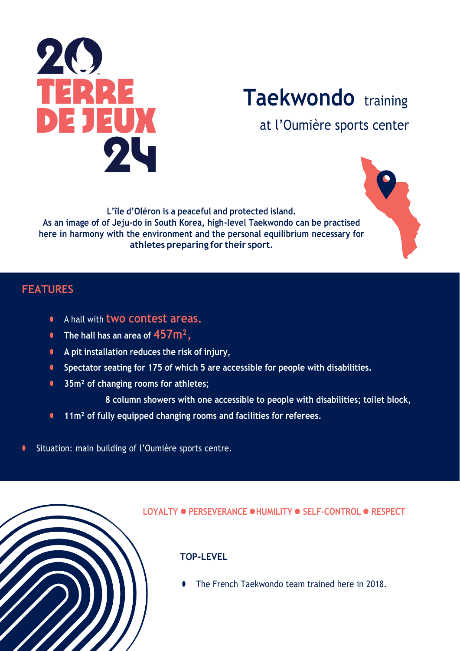

# **Taekwondo** training

at l'Oumière sports center

**L'île d'Oléron is a peaceful and protected island. As an image of of Jeju-do in South Korea, high-level Taekwondo can be practised here in harmony with the environment and the personal equilibrium necessary for athletes preparing for their sport.**

### **FEATURES**

- ⚫ A hall with **two contest areas.**
- ⚫ **The hall has an area of 457m²,**
- ⚫ **A pit installation reduces the risk of injury,**
- ⚫ **Spectator seating for 175 of which 5 are accessible for people with disabilities.**
- ⚫ **35m² of changing rooms for athletes;**

**8 column showers with one accessible to people with disabilities; toilet block,**

- ⚫ **11m² of fully equipped changing rooms and facilities for referees.**
- Situation: main building of l'Oumière sports centre.



#### **LOYALTY** ⚫ **PERSEVERANCE** ⚫**HUMILITY** ⚫ **SELF-CONTROL** ⚫ **RESPECT**

#### **TOP-LEVEL**

⚫ The French Taekwondo team trained here in 2018.